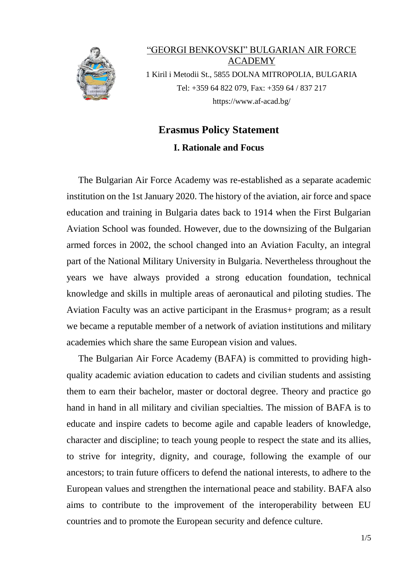

"GEORGI BENKOVSKI" BULGARIAN AIR FORCE ACADEMY 1 Kiril i Metodii St., 5855 DOLNA MITROPOLIA, BULGARIA Tel: +359 64 822 079, Fax: +359 64 / 837 217 https://www.af-acad.bg/

## **Erasmus Policy Statement I. Rationale and Focus**

 The Bulgarian Air Force Academy was re-established as a separate academic institution on the 1st January 2020. The history of the aviation, air force and space education and training in Bulgaria dates back to 1914 when the First Bulgarian Aviation School was founded. However, due to the downsizing of the Bulgarian armed forces in 2002, the school changed into an Aviation Faculty, an integral part of the National Military University in Bulgaria. Nevertheless throughout the years we have always provided a strong education foundation, technical knowledge and skills in multiple areas of aeronautical and piloting studies. The Aviation Faculty was an active participant in the Erasmus+ program; as a result we became a reputable member of a network of aviation institutions and military academies which share the same European vision and values.

 The Bulgarian Air Force Academy (BAFA) is committed to providing highquality academic aviation education to cadets and civilian students and assisting them to earn their bachelor, master or doctoral degree. Theory and practice go hand in hand in all military and civilian specialties. The mission of BAFA is to educate and inspire cadets to become agile and capable leaders of knowledge, character and discipline; to teach young people to respect the state and its allies, to strive for integrity, dignity, and courage, following the example of our ancestors; to train future officers to defend the national interests, to adhere to the European values and strengthen the international peace and stability. BAFA also aims to contribute to the improvement of the interoperability between EU countries and to promote the European security and defence culture.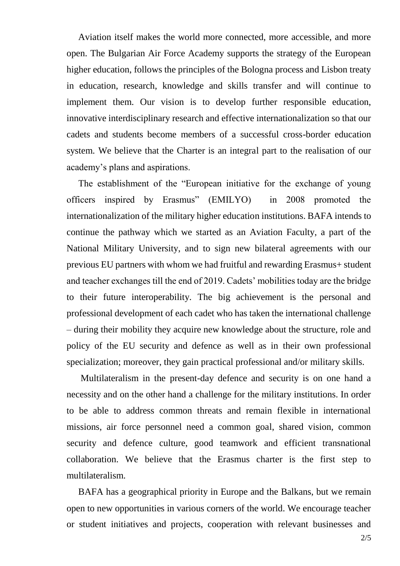Aviation itself makes the world more connected, more accessible, and more open. The Bulgarian Air Force Academy supports the strategy of the European higher education, follows the principles of the Bologna process and Lisbon treaty in education, research, knowledge and skills transfer and will continue to implement them. Our vision is to develop further responsible education, innovative interdisciplinary research and effective internationalization so that our cadets and students become members of a successful cross-border education system. We believe that the Charter is an integral part to the realisation of our academy's plans and aspirations.

 The establishment of the "European initiative for the exchange of young officers inspired by Erasmus" (EMILYO) in 2008 promoted the internationalization of the military higher education institutions. BAFA intends to continue the pathway which we started as an Aviation Faculty, a part of the National Military University, and to sign new bilateral agreements with our previous EU partners with whom we had fruitful and rewarding Erasmus+ student and teacher exchanges till the end of 2019. Cadets' mobilities today are the bridge to their future interoperability. The big achievement is the personal and professional development of each cadet who has taken the international challenge – during their mobility they acquire new knowledge about the structure, role and policy of the EU security and defence as well as in their own professional specialization; moreover, they gain practical professional and/or military skills.

 Multilateralism in the present-day defence and security is on one hand a necessity and on the other hand a challenge for the military institutions. In order to be able to address common threats and remain flexible in international missions, air force personnel need a common goal, shared vision, common security and defence culture, good teamwork and efficient transnational collaboration. We believe that the Erasmus charter is the first step to multilateralism.

 BAFA has a geographical priority in Europe and the Balkans, but we remain open to new opportunities in various corners of the world. We encourage teacher or student initiatives and projects, cooperation with relevant businesses and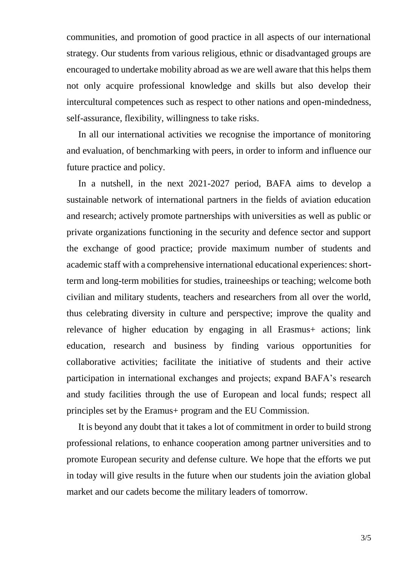communities, and promotion of good practice in all aspects of our international strategy. Our students from various religious, ethnic or disadvantaged groups are encouraged to undertake mobility abroad as we are well aware that this helps them not only acquire professional knowledge and skills but also develop their intercultural competences such as respect to other nations and open-mindedness, self-assurance, flexibility, willingness to take risks.

 In all our international activities we recognise the importance of monitoring and evaluation, of benchmarking with peers, in order to inform and influence our future practice and policy.

 In a nutshell, in the next 2021-2027 period, BAFA aims to develop a sustainable network of international partners in the fields of aviation education and research; actively promote partnerships with universities as well as public or private organizations functioning in the security and defence sector and support the exchange of good practice; provide maximum number of students and academic staff with a comprehensive international educational experiences: shortterm and long-term mobilities for studies, traineeships or teaching; welcome both civilian and military students, teachers and researchers from all over the world, thus celebrating diversity in culture and perspective; improve the quality and relevance of higher education by engaging in all Erasmus+ actions; link education, research and business by finding various opportunities for collaborative activities; facilitate the initiative of students and their active participation in international exchanges and projects; expand BAFA's research and study facilities through the use of European and local funds; respect all principles set by the Eramus+ program and the EU Commission.

 It is beyond any doubt that it takes a lot of commitment in order to build strong professional relations, to enhance cooperation among partner universities and to promote European security and defense culture. We hope that the efforts we put in today will give results in the future when our students join the aviation global market and our cadets become the military leaders of tomorrow.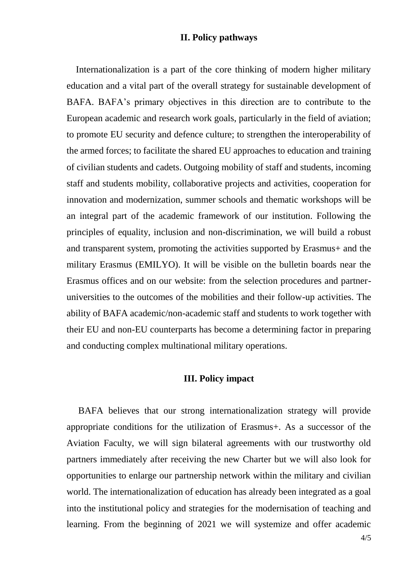## **II. Policy pathways**

 Internationalization is a part of the core thinking of modern higher military education and a vital part of the overall strategy for sustainable development of BAFA. BAFA's primary objectives in this direction are to contribute to the European academic and research work goals, particularly in the field of aviation; to promote EU security and defence culture; to strengthen the interoperability of the armed forces; to facilitate the shared EU approaches to education and training of civilian students and cadets. Outgoing mobility of staff and students, incoming staff and students mobility, collaborative projects and activities, cooperation for innovation and modernization, summer schools and thematic workshops will be an integral part of the academic framework of our institution. Following the principles of equality, inclusion and non-discrimination, we will build a robust and transparent system, promoting the activities supported by Erasmus+ and the military Erasmus (EMILYO). It will be visible on the bulletin boards near the Erasmus offices and on our website: from the selection procedures and partneruniversities to the outcomes of the mobilities and their follow-up activities. The ability of BAFA academic/non-academic staff and students to work together with their EU and non-EU counterparts has become a determining factor in preparing and conducting complex multinational military operations.

## **III. Policy impact**

 BAFA believes that our strong internationalization strategy will provide appropriate conditions for the utilization of Erasmus+. As a successor of the Aviation Faculty, we will sign bilateral agreements with our trustworthy old partners immediately after receiving the new Charter but we will also look for opportunities to enlarge our partnership network within the military and civilian world. The internationalization of education has already been integrated as a goal into the institutional policy and strategies for the modernisation of teaching and learning. From the beginning of 2021 we will systemize and offer academic